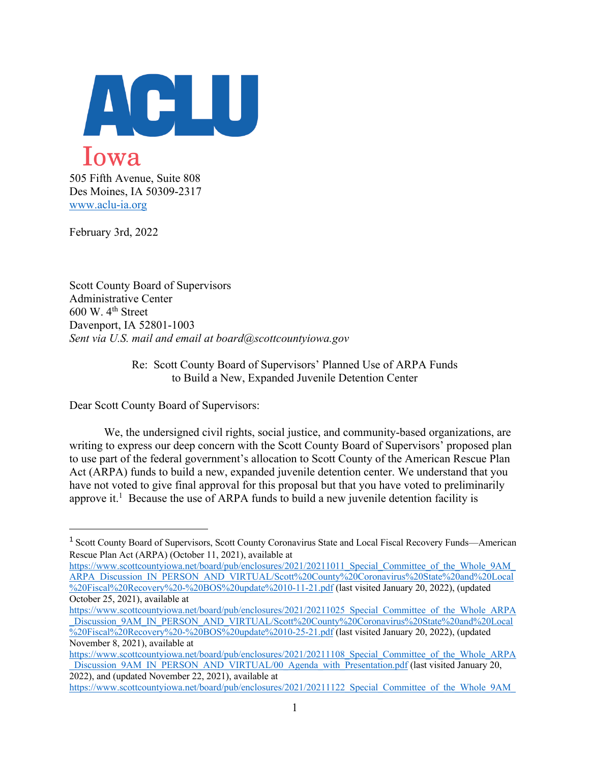

Des Moines, IA 50309-2317 www.aclu-ia.org

February 3rd, 2022

Scott County Board of Supervisors Administrative Center  $600$  W.  $4<sup>th</sup>$  Street Davenport, IA 52801-1003 *Sent via U.S. mail and email at board@scottcountyiowa.gov*

> Re: Scott County Board of Supervisors' Planned Use of ARPA Funds to Build a New, Expanded Juvenile Detention Center

Dear Scott County Board of Supervisors:

We, the undersigned civil rights, social justice, and community-based organizations, are writing to express our deep concern with the Scott County Board of Supervisors' proposed plan to use part of the federal government's allocation to Scott County of the American Rescue Plan Act (ARPA) funds to build a new, expanded juvenile detention center. We understand that you have not voted to give final approval for this proposal but that you have voted to preliminarily approve it.<sup>1</sup> Because the use of ARPA funds to build a new juvenile detention facility is

November 8, 2021), available at

<sup>1</sup> Scott County Board of Supervisors, Scott County Coronavirus State and Local Fiscal Recovery Funds—American Rescue Plan Act (ARPA) (October 11, 2021), available at

https://www.scottcountyiowa.net/board/pub/enclosures/2021/20211011\_Special\_Committee\_of\_the\_Whole\_9AM\_ ARPA\_Discussion\_IN\_PERSON\_AND\_VIRTUAL/Scott%20County%20Coronavirus%20State%20and%20Local %20Fiscal%20Recovery%20-%20BOS%20update%2010-11-21.pdf (last visited January 20, 2022), (updated October 25, 2021), available at

https://www.scottcountyiowa.net/board/pub/enclosures/2021/20211025\_Special\_Committee\_of\_the\_Whole\_ARPA Discussion\_9AM\_IN\_PERSON\_AND\_VIRTUAL/Scott%20County%20Coronavirus%20State%20and%20Local %20Fiscal%20Recovery%20-%20BOS%20update%2010-25-21.pdf (last visited January 20, 2022), (updated

https://www.scottcountyiowa.net/board/pub/enclosures/2021/20211108 Special Committee of the Whole ARPA Discussion\_9AM\_IN\_PERSON\_AND\_VIRTUAL/00\_Agenda\_with\_Presentation.pdf (last visited January 20, 2022), and (updated November 22, 2021), available at

https://www.scottcountyiowa.net/board/pub/enclosures/2021/20211122 Special Committee of the Whole 9AM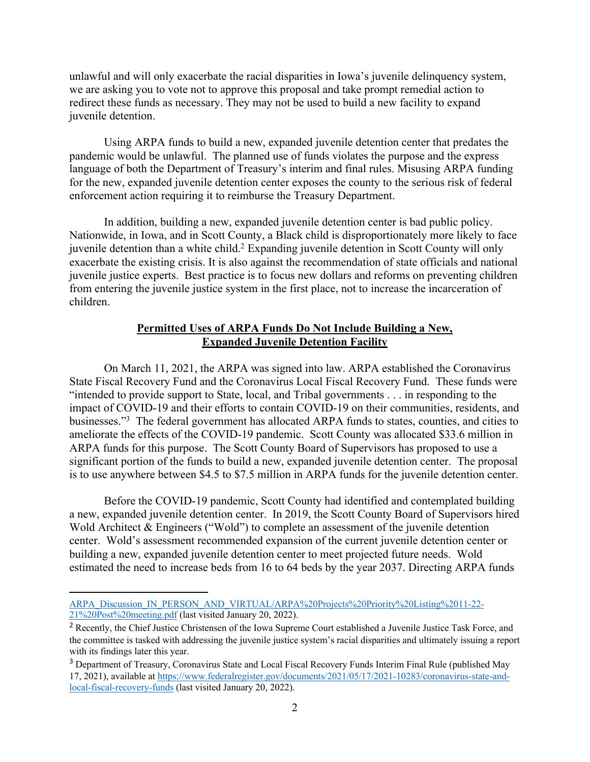unlawful and will only exacerbate the racial disparities in Iowa's juvenile delinquency system, we are asking you to vote not to approve this proposal and take prompt remedial action to redirect these funds as necessary. They may not be used to build a new facility to expand juvenile detention.

Using ARPA funds to build a new, expanded juvenile detention center that predates the pandemic would be unlawful. The planned use of funds violates the purpose and the express language of both the Department of Treasury's interim and final rules. Misusing ARPA funding for the new, expanded juvenile detention center exposes the county to the serious risk of federal enforcement action requiring it to reimburse the Treasury Department.

In addition, building a new, expanded juvenile detention center is bad public policy. Nationwide, in Iowa, and in Scott County, a Black child is disproportionately more likely to face juvenile detention than a white child.2 Expanding juvenile detention in Scott County will only exacerbate the existing crisis. It is also against the recommendation of state officials and national juvenile justice experts. Best practice is to focus new dollars and reforms on preventing children from entering the juvenile justice system in the first place, not to increase the incarceration of children.

## **Permitted Uses of ARPA Funds Do Not Include Building a New, Expanded Juvenile Detention Facility**

On March 11, 2021, the ARPA was signed into law. ARPA established the Coronavirus State Fiscal Recovery Fund and the Coronavirus Local Fiscal Recovery Fund. These funds were "intended to provide support to State, local, and Tribal governments . . . in responding to the impact of COVID-19 and their efforts to contain COVID-19 on their communities, residents, and businesses."<sup>3</sup> The federal government has allocated ARPA funds to states, counties, and cities to ameliorate the effects of the COVID-19 pandemic. Scott County was allocated \$33.6 million in ARPA funds for this purpose. The Scott County Board of Supervisors has proposed to use a significant portion of the funds to build a new, expanded juvenile detention center. The proposal is to use anywhere between \$4.5 to \$7.5 million in ARPA funds for the juvenile detention center.

Before the COVID-19 pandemic, Scott County had identified and contemplated building a new, expanded juvenile detention center. In 2019, the Scott County Board of Supervisors hired Wold Architect & Engineers ("Wold") to complete an assessment of the juvenile detention center. Wold's assessment recommended expansion of the current juvenile detention center or building a new, expanded juvenile detention center to meet projected future needs. Wold estimated the need to increase beds from 16 to 64 beds by the year 2037. Directing ARPA funds

ARPA\_Discussion\_IN\_PERSON\_AND\_VIRTUAL/ARPA%20Projects%20Priority%20Listing%2011-22-21%20Post%20meeting.pdf (last visited January 20, 2022).

<sup>&</sup>lt;sup>2</sup> Recently, the Chief Justice Christensen of the Iowa Supreme Court established a Juvenile Justice Task Force, and the committee is tasked with addressing the juvenile justice system's racial disparities and ultimately issuing a report with its findings later this year.

<sup>3</sup> Department of Treasury, Coronavirus State and Local Fiscal Recovery Funds Interim Final Rule (published May 17, 2021), available at https://www.federalregister.gov/documents/2021/05/17/2021-10283/coronavirus-state-andlocal-fiscal-recovery-funds (last visited January 20, 2022).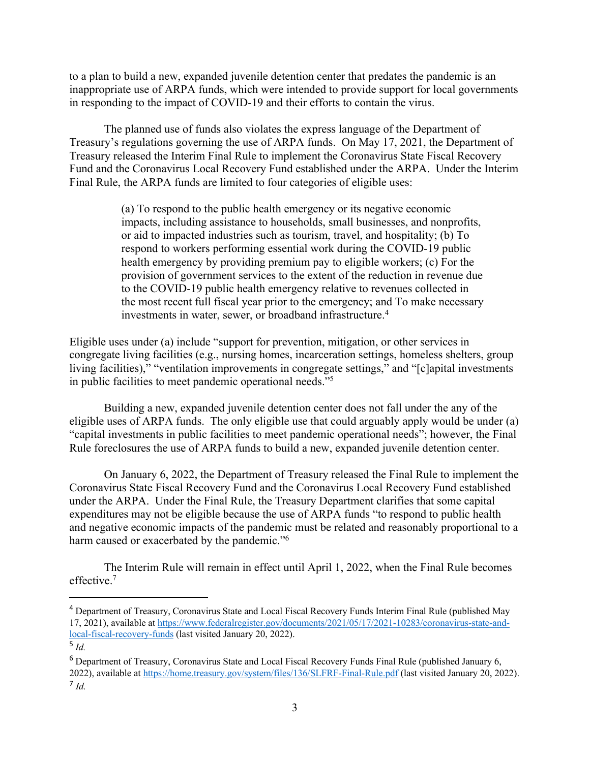to a plan to build a new, expanded juvenile detention center that predates the pandemic is an inappropriate use of ARPA funds, which were intended to provide support for local governments in responding to the impact of COVID-19 and their efforts to contain the virus.

The planned use of funds also violates the express language of the Department of Treasury's regulations governing the use of ARPA funds. On May 17, 2021, the Department of Treasury released the Interim Final Rule to implement the Coronavirus State Fiscal Recovery Fund and the Coronavirus Local Recovery Fund established under the ARPA. Under the Interim Final Rule, the ARPA funds are limited to four categories of eligible uses:

> (a) To respond to the public health emergency or its negative economic impacts, including assistance to households, small businesses, and nonprofits, or aid to impacted industries such as tourism, travel, and hospitality; (b) To respond to workers performing essential work during the COVID-19 public health emergency by providing premium pay to eligible workers; (c) For the provision of government services to the extent of the reduction in revenue due to the COVID-19 public health emergency relative to revenues collected in the most recent full fiscal year prior to the emergency; and To make necessary investments in water, sewer, or broadband infrastructure.4

Eligible uses under (a) include "support for prevention, mitigation, or other services in congregate living facilities (e.g., nursing homes, incarceration settings, homeless shelters, group living facilities)," "ventilation improvements in congregate settings," and "[c]apital investments in public facilities to meet pandemic operational needs."5

Building a new, expanded juvenile detention center does not fall under the any of the eligible uses of ARPA funds. The only eligible use that could arguably apply would be under (a) "capital investments in public facilities to meet pandemic operational needs"; however, the Final Rule foreclosures the use of ARPA funds to build a new, expanded juvenile detention center.

On January 6, 2022, the Department of Treasury released the Final Rule to implement the Coronavirus State Fiscal Recovery Fund and the Coronavirus Local Recovery Fund established under the ARPA. Under the Final Rule, the Treasury Department clarifies that some capital expenditures may not be eligible because the use of ARPA funds "to respond to public health and negative economic impacts of the pandemic must be related and reasonably proportional to a harm caused or exacerbated by the pandemic."<sup>6</sup>

The Interim Rule will remain in effect until April 1, 2022, when the Final Rule becomes effective.7

<sup>4</sup> Department of Treasury, Coronavirus State and Local Fiscal Recovery Funds Interim Final Rule (published May 17, 2021), available at https://www.federalregister.gov/documents/2021/05/17/2021-10283/coronavirus-state-andlocal-fiscal-recovery-funds (last visited January 20, 2022). 5 *Id.*

<sup>6</sup> Department of Treasury, Coronavirus State and Local Fiscal Recovery Funds Final Rule (published January 6, 2022), available at https://home.treasury.gov/system/files/136/SLFRF-Final-Rule.pdf (last visited January 20, 2022). <sup>7</sup> *Id.*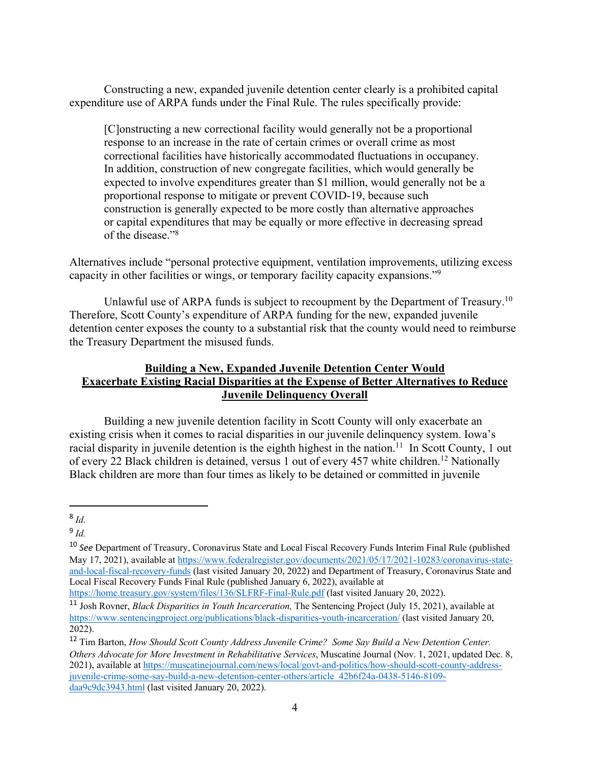Constructing a new, expanded juvenile detention center clearly is a prohibited capital expenditure use of ARPA funds under the Final Rule. The rules specifically provide:

[C]onstructing a new correctional facility would generally not be a proportional response to an increase in the rate of certain crimes or overall crime as most correctional facilities have historically accommodated fluctuations in occupancy. In addition, construction of new congregate facilities, which would generally be expected to involve expenditures greater than \$1 million, would generally not be a proportional response to mitigate or prevent COVID-19, because such construction is generally expected to be more costly than alternative approaches or capital expenditures that may be equally or more effective in decreasing spread of the disease."8

Alternatives include "personal protective equipment, ventilation improvements, utilizing excess capacity in other facilities or wings, or temporary facility capacity expansions."9

Unlawful use of ARPA funds is subject to recoupment by the Department of Treasury.<sup>10</sup> Therefore, Scott County's expenditure of ARPA funding for the new, expanded juvenile detention center exposes the county to a substantial risk that the county would need to reimburse the Treasury Department the misused funds.

## **Building a New, Expanded Juvenile Detention Center Would Exacerbate Existing Racial Disparities at the Expense of Better Alternatives to Reduce Juvenile Delinquency Overall**

Building a new juvenile detention facility in Scott County will only exacerbate an existing crisis when it comes to racial disparities in our juvenile delinquency system. Iowa's racial disparity in juvenile detention is the eighth highest in the nation.<sup>11</sup> In Scott County, 1 out of every 22 Black children is detained, versus 1 out of every 457 white children.12 Nationally Black children are more than four times as likely to be detained or committed in juvenile

https://home.treasury.gov/system/files/136/SLFRF-Final-Rule.pdf (last visited January 20, 2022).

<sup>8</sup> *Id.*

<sup>9</sup> *Id.*

<sup>10</sup> *See* Department of Treasury, Coronavirus State and Local Fiscal Recovery Funds Interim Final Rule (published May 17, 2021), available at https://www.federalregister.gov/documents/2021/05/17/2021-10283/coronavirus-stateand-local-fiscal-recovery-funds (last visited January 20, 2022) and Department of Treasury, Coronavirus State and Local Fiscal Recovery Funds Final Rule (published January 6, 2022), available at

<sup>11</sup> Josh Rovner, *Black Disparities in Youth Incarceration,* The Sentencing Project (July 15, 2021), available at https://www.sentencingproject.org/publications/black-disparities-youth-incarceration/ (last visited January 20, 2022). 12 Tim Barton, *How Should Scott County Address Juvenile Crime? Some Say Build a New Detention Center.* 

*Others Advocate for More Investment in Rehabilitative Services*, Muscatine Journal (Nov. 1, 2021, updated Dec. 8, 2021), available at https://muscatinejournal.com/news/local/govt-and-politics/how-should-scott-county-addressjuvenile-crime-some-say-build-a-new-detention-center-others/article\_42b6f24a-0438-5146-8109 daa9c9dc3943.html (last visited January 20, 2022).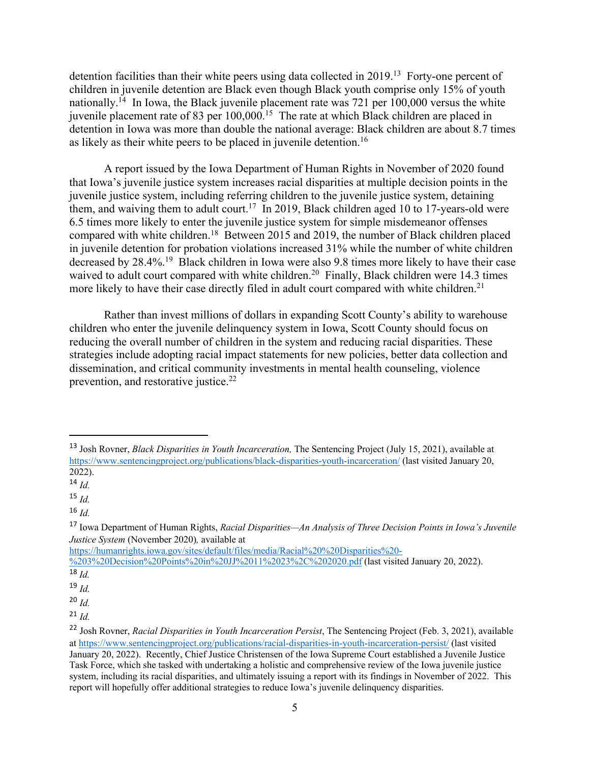detention facilities than their white peers using data collected in 2019.<sup>13</sup> Forty-one percent of children in juvenile detention are Black even though Black youth comprise only 15% of youth nationally.<sup>14</sup> In Iowa, the Black juvenile placement rate was 721 per  $100,000$  versus the white juvenile placement rate of 83 per 100,000.15 The rate at which Black children are placed in detention in Iowa was more than double the national average: Black children are about 8.7 times as likely as their white peers to be placed in juvenile detention.<sup>16</sup>

A report issued by the Iowa Department of Human Rights in November of 2020 found that Iowa's juvenile justice system increases racial disparities at multiple decision points in the juvenile justice system, including referring children to the juvenile justice system, detaining them, and waiving them to adult court.<sup>17</sup> In 2019, Black children aged 10 to 17-years-old were 6.5 times more likely to enter the juvenile justice system for simple misdemeanor offenses compared with white children.18 Between 2015 and 2019, the number of Black children placed in juvenile detention for probation violations increased 31% while the number of white children decreased by 28.4%.19 Black children in Iowa were also 9.8 times more likely to have their case waived to adult court compared with white children.<sup>20</sup> Finally, Black children were 14.3 times more likely to have their case directly filed in adult court compared with white children.<sup>21</sup>

Rather than invest millions of dollars in expanding Scott County's ability to warehouse children who enter the juvenile delinquency system in Iowa, Scott County should focus on reducing the overall number of children in the system and reducing racial disparities. These strategies include adopting racial impact statements for new policies, better data collection and dissemination, and critical community investments in mental health counseling, violence prevention, and restorative justice.<sup>22</sup>

https://humanrights.iowa.gov/sites/default/files/media/Racial%20%20Disparities%20-

<sup>13</sup> Josh Rovner, *Black Disparities in Youth Incarceration,* The Sentencing Project (July 15, 2021), available at https://www.sentencingproject.org/publications/black-disparities-youth-incarceration/ (last visited January 20, 2022). 14 *Id.*

<sup>15</sup> *Id.*

<sup>16</sup> *Id.*

<sup>17</sup> Iowa Department of Human Rights, *Racial Disparities—An Analysis of Three Decision Points in Iowa's Juvenile Justice System* (November 2020)*,* available at

<sup>%203%20</sup>Decision%20Points%20in%20JJ%2011%2023%2C%202020.pdf (last visited January 20, 2022).

<sup>18</sup> *Id.*

<sup>19</sup> *Id.*

<sup>20</sup> *Id.*

<sup>21</sup> *Id.*

<sup>22</sup> Josh Rovner, *Racial Disparities in Youth Incarceration Persist*, The Sentencing Project (Feb. 3, 2021), available at https://www.sentencingproject.org/publications/racial-disparities-in-youth-incarceration-persist/ (last visited January 20, 2022). Recently, Chief Justice Christensen of the Iowa Supreme Court established a Juvenile Justice Task Force, which she tasked with undertaking a holistic and comprehensive review of the Iowa juvenile justice system, including its racial disparities, and ultimately issuing a report with its findings in November of 2022. This report will hopefully offer additional strategies to reduce Iowa's juvenile delinquency disparities.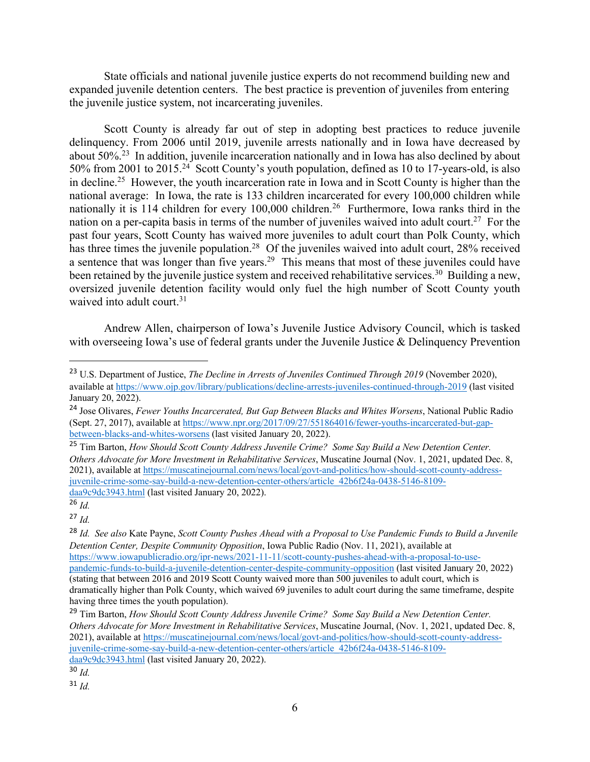State officials and national juvenile justice experts do not recommend building new and expanded juvenile detention centers. The best practice is prevention of juveniles from entering the juvenile justice system, not incarcerating juveniles.

Scott County is already far out of step in adopting best practices to reduce juvenile delinquency. From 2006 until 2019, juvenile arrests nationally and in Iowa have decreased by about 50%.23 In addition, juvenile incarceration nationally and in Iowa has also declined by about 50% from 2001 to 2015.24 Scott County's youth population, defined as 10 to 17-years-old, is also in decline.25 However, the youth incarceration rate in Iowa and in Scott County is higher than the national average: In Iowa, the rate is 133 children incarcerated for every 100,000 children while nationally it is 114 children for every 100,000 children.<sup>26</sup> Furthermore, Iowa ranks third in the nation on a per-capita basis in terms of the number of juveniles waived into adult court.<sup>27</sup> For the past four years, Scott County has waived more juveniles to adult court than Polk County, which has three times the juvenile population.<sup>28</sup> Of the juveniles waived into adult court, 28% received a sentence that was longer than five years.<sup>29</sup> This means that most of these juveniles could have been retained by the juvenile justice system and received rehabilitative services.<sup>30</sup> Building a new, oversized juvenile detention facility would only fuel the high number of Scott County youth waived into adult court.<sup>31</sup>

Andrew Allen, chairperson of Iowa's Juvenile Justice Advisory Council, which is tasked with overseeing Iowa's use of federal grants under the Juvenile Justice & Delinquency Prevention

<sup>27</sup> *Id.*

<sup>31</sup> *Id.*

<sup>23</sup> U.S. Department of Justice, *The Decline in Arrests of Juveniles Continued Through 2019* (November 2020), available at https://www.ojp.gov/library/publications/decline-arrests-juveniles-continued-through-2019 (last visited January 20, 2022).

<sup>24</sup> Jose Olivares, *Fewer Youths Incarcerated, But Gap Between Blacks and Whites Worsens*, National Public Radio (Sept. 27, 2017), available at https://www.npr.org/2017/09/27/551864016/fewer-youths-incarcerated-but-gap-<br>between-blacks-and-whites-worsens (last visited January 20, 2022).

<sup>&</sup>lt;sup>25</sup> Tim Barton, *How Should Scott County Address Juvenile Crime? Some Say Build a New Detention Center. Others Advocate for More Investment in Rehabilitative Services*, Muscatine Journal (Nov. 1, 2021, updated Dec. 8, 2021), available at https://muscatinejournal.com/news/local/govt-and-politics/how-should-scott-county-addressjuvenile-crime-some-say-build-a-new-detention-center-others/article\_42b6f24a-0438-5146-8109 daa9c9dc3943.html (last visited January 20, 2022).

<sup>26</sup> *Id.*

<sup>28</sup> *Id. See also* Kate Payne, *Scott County Pushes Ahead with a Proposal to Use Pandemic Funds to Build a Juvenile Detention Center, Despite Community Opposition*, Iowa Public Radio (Nov. 11, 2021), available at https://www.iowapublicradio.org/ipr-news/2021-11-11/scott-county-pushes-ahead-with-a-proposal-to-usepandemic-funds-to-build-a-juvenile-detention-center-despite-community-opposition (last visited January 20, 2022) (stating that between 2016 and 2019 Scott County waived more than 500 juveniles to adult court, which is dramatically higher than Polk County, which waived 69 juveniles to adult court during the same timeframe, despite having three times the youth population).

<sup>29</sup> Tim Barton, *How Should Scott County Address Juvenile Crime? Some Say Build a New Detention Center. Others Advocate for More Investment in Rehabilitative Services*, Muscatine Journal, (Nov. 1, 2021, updated Dec. 8, 2021), available at https://muscatinejournal.com/news/local/govt-and-politics/how-should-scott-county-addressjuvenile-crime-some-say-build-a-new-detention-center-others/article\_42b6f24a-0438-5146-8109 daa9c9dc3943.html (last visited January 20, 2022).

<sup>30</sup> *Id.*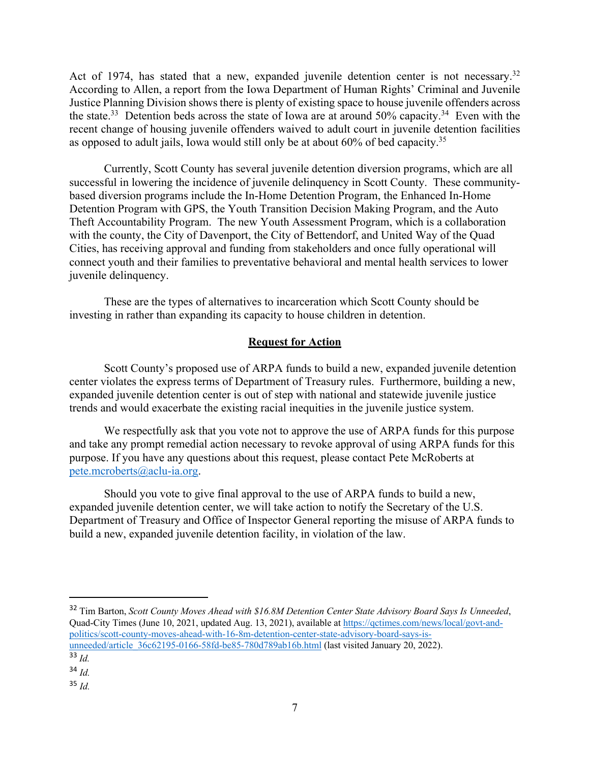Act of 1974, has stated that a new, expanded juvenile detention center is not necessary.<sup>32</sup> According to Allen, a report from the Iowa Department of Human Rights' Criminal and Juvenile Justice Planning Division shows there is plenty of existing space to house juvenile offenders across the state.<sup>33</sup> Detention beds across the state of Iowa are at around 50% capacity.<sup>34</sup> Even with the recent change of housing juvenile offenders waived to adult court in juvenile detention facilities as opposed to adult jails, Iowa would still only be at about 60% of bed capacity.35

Currently, Scott County has several juvenile detention diversion programs, which are all successful in lowering the incidence of juvenile delinquency in Scott County. These communitybased diversion programs include the In-Home Detention Program, the Enhanced In-Home Detention Program with GPS, the Youth Transition Decision Making Program, and the Auto Theft Accountability Program. The new Youth Assessment Program, which is a collaboration with the county, the City of Davenport, the City of Bettendorf, and United Way of the Quad Cities, has receiving approval and funding from stakeholders and once fully operational will connect youth and their families to preventative behavioral and mental health services to lower juvenile delinquency.

These are the types of alternatives to incarceration which Scott County should be investing in rather than expanding its capacity to house children in detention.

## **Request for Action**

Scott County's proposed use of ARPA funds to build a new, expanded juvenile detention center violates the express terms of Department of Treasury rules. Furthermore, building a new, expanded juvenile detention center is out of step with national and statewide juvenile justice trends and would exacerbate the existing racial inequities in the juvenile justice system.

We respectfully ask that you vote not to approve the use of ARPA funds for this purpose and take any prompt remedial action necessary to revoke approval of using ARPA funds for this purpose. If you have any questions about this request, please contact Pete McRoberts at pete.mcroberts@aclu-ia.org.

Should you vote to give final approval to the use of ARPA funds to build a new, expanded juvenile detention center, we will take action to notify the Secretary of the U.S. Department of Treasury and Office of Inspector General reporting the misuse of ARPA funds to build a new, expanded juvenile detention facility, in violation of the law.

<sup>32</sup> Tim Barton, *Scott County Moves Ahead with \$16.8M Detention Center State Advisory Board Says Is Unneeded*, Quad-City Times (June 10, 2021, updated Aug. 13, 2021), available at https://qctimes.com/news/local/govt-andpolitics/scott-county-moves-ahead-with-16-8m-detention-center-state-advisory-board-says-isunneeded/article\_36c62195-0166-58fd-be85-780d789ab16b.html (last visited January 20, 2022). <sup>33</sup> *Id.*

<sup>34</sup> *Id.*

<sup>35</sup> *Id.*